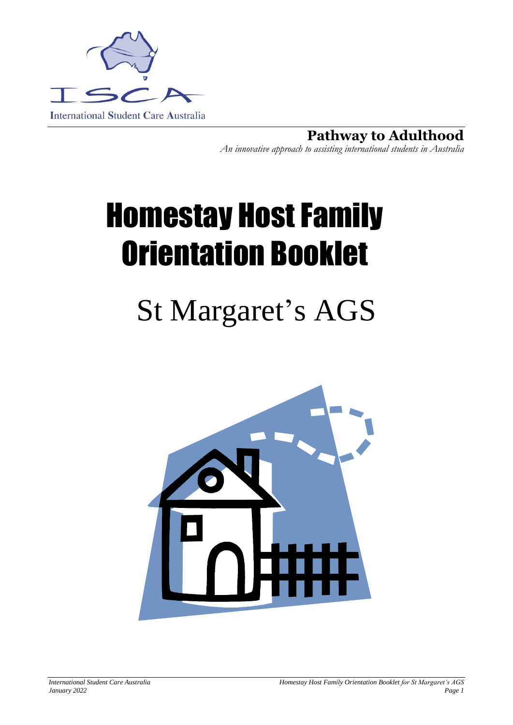

**Pathway to Adulthood** *An innovative approach to assisting international students in Australia*

# Homestay Host Family Orientation Booklet

# St Margaret's AGS

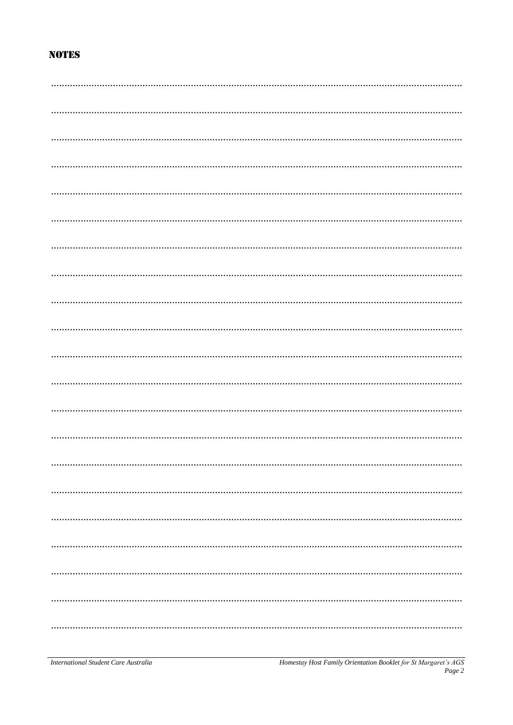# **NOTES**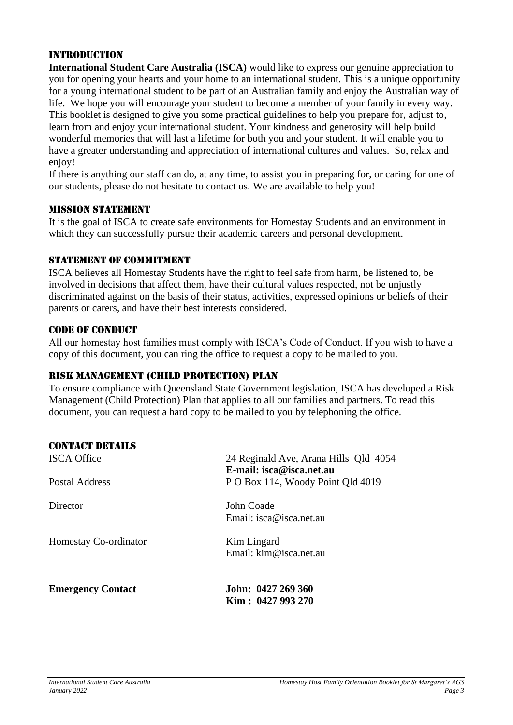#### Introduction

**International Student Care Australia (ISCA)** would like to express our genuine appreciation to you for opening your hearts and your home to an international student. This is a unique opportunity for a young international student to be part of an Australian family and enjoy the Australian way of life. We hope you will encourage your student to become a member of your family in every way. This booklet is designed to give you some practical guidelines to help you prepare for, adjust to, learn from and enjoy your international student. Your kindness and generosity will help build wonderful memories that will last a lifetime for both you and your student. It will enable you to have a greater understanding and appreciation of international cultures and values. So, relax and enjoy!

If there is anything our staff can do, at any time, to assist you in preparing for, or caring for one of our students, please do not hesitate to contact us. We are available to help you!

#### Mission Statement

It is the goal of ISCA to create safe environments for Homestay Students and an environment in which they can successfully pursue their academic careers and personal development.

#### STATEMENT OF COMMITMENT

ISCA believes all Homestay Students have the right to feel safe from harm, be listened to, be involved in decisions that affect them, have their cultural values respected, not be unjustly discriminated against on the basis of their status, activities, expressed opinions or beliefs of their parents or carers, and have their best interests considered.

#### CODE OF CONDUCT

All our homestay host families must comply with ISCA's Code of Conduct. If you wish to have a copy of this document, you can ring the office to request a copy to be mailed to you.

#### Risk Management (Child Protection) Plan

To ensure compliance with Queensland State Government legislation, ISCA has developed a Risk Management (Child Protection) Plan that applies to all our families and partners. To read this document, you can request a hard copy to be mailed to you by telephoning the office.

#### CONTACT DETAILS

| <b>ISCA Office</b>       | 24 Reginald Ave, Arana Hills Qld 4054<br>E-mail: isca@isca.net.au |
|--------------------------|-------------------------------------------------------------------|
| Postal Address           | P O Box 114, Woody Point Qld 4019                                 |
| Director                 | John Coade<br>Email: isca@isca.net.au                             |
| Homestay Co-ordinator    | Kim Lingard<br>Email: kim@isca.net.au                             |
| <b>Emergency Contact</b> | John: 0427 269 360<br>Kim : 0427 993 270                          |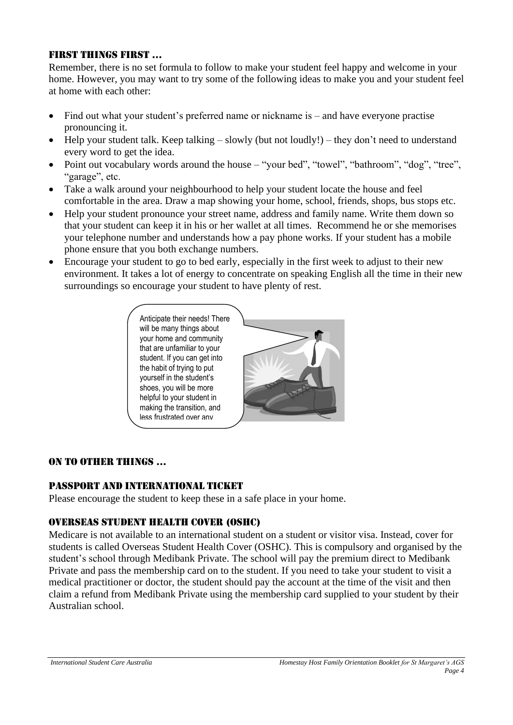# FIRST THINGS FIRST …

Remember, there is no set formula to follow to make your student feel happy and welcome in your home. However, you may want to try some of the following ideas to make you and your student feel at home with each other:

- Find out what your student's preferred name or nickname is and have everyone practise pronouncing it.
- Help your student talk. Keep talking slowly (but not loudly!) they don't need to understand every word to get the idea.
- Point out vocabulary words around the house "your bed", "towel", "bathroom", "dog", "tree", "garage", etc.
- Take a walk around your neighbourhood to help your student locate the house and feel comfortable in the area. Draw a map showing your home, school, friends, shops, bus stops etc.
- Help your student pronounce your street name, address and family name. Write them down so that your student can keep it in his or her wallet at all times. Recommend he or she memorises your telephone number and understands how a pay phone works. If your student has a mobile phone ensure that you both exchange numbers.
- Encourage your student to go to bed early, especially in the first week to adjust to their new environment. It takes a lot of energy to concentrate on speaking English all the time in their new surroundings so encourage your student to have plenty of rest.



#### ON TO OTHER THINGS …

#### Passport and International Ticket

Please encourage the student to keep these in a safe place in your home.

# OVERSEAS Student Health Cover (OSHC)

Medicare is not available to an international student on a student or visitor visa. Instead, cover for students is called Overseas Student Health Cover (OSHC). This is compulsory and organised by the student's school through Medibank Private. The school will pay the premium direct to Medibank Private and pass the membership card on to the student. If you need to take your student to visit a medical practitioner or doctor, the student should pay the account at the time of the visit and then claim a refund from Medibank Private using the membership card supplied to your student by their Australian school.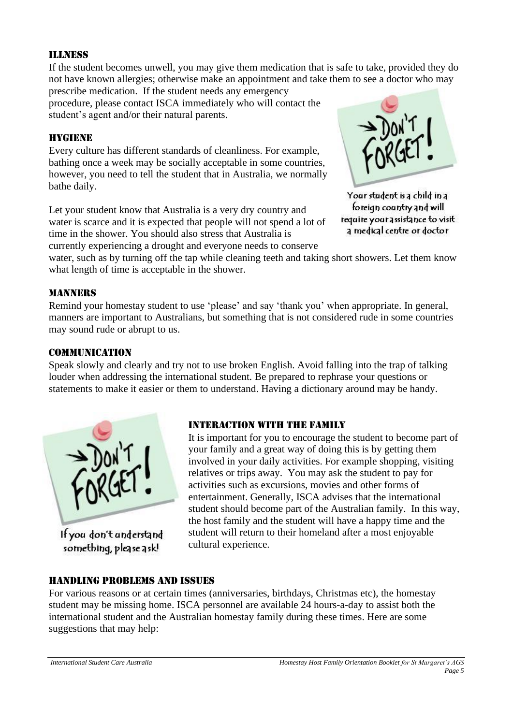#### Illness

If the student becomes unwell, you may give them medication that is safe to take, provided they do not have known allergies; otherwise make an appointment and take them to see a doctor who may

prescribe medication. If the student needs any emergency procedure, please contact ISCA immediately who will contact the student's agent and/or their natural parents.

#### HYGIENE

Every culture has different standards of cleanliness. For example, bathing once a week may be socially acceptable in some countries, however, you need to tell the student that in Australia, we normally bathe daily.

Let your student know that Australia is a very dry country and water is scarce and it is expected that people will not spend a lot of time in the shower. You should also stress that Australia is currently experiencing a drought and everyone needs to conserve



Your student is a child in a foreign country and will require your assistance to visit a medical centre or doctor

water, such as by turning off the tap while cleaning teeth and taking short showers. Let them know what length of time is acceptable in the shower.

#### **MANNERS**

Remind your homestay student to use 'please' and say 'thank you' when appropriate. In general, manners are important to Australians, but something that is not considered rude in some countries may sound rude or abrupt to us.

#### **COMMUNICATION**

Speak slowly and clearly and try not to use broken English. Avoid falling into the trap of talking louder when addressing the international student. Be prepared to rephrase your questions or statements to make it easier or them to understand. Having a dictionary around may be handy.



something, please ask!

#### Interaction with the family

It is important for you to encourage the student to become part of your family and a great way of doing this is by getting them involved in your daily activities. For example shopping, visiting relatives or trips away. You may ask the student to pay for activities such as excursions, movies and other forms of entertainment. Generally, ISCA advises that the international student should become part of the Australian family. In this way, the host family and the student will have a happy time and the student will return to their homeland after a most enjoyable cultural experience.

#### Handling Problems and Issues

For various reasons or at certain times (anniversaries, birthdays, Christmas etc), the homestay student may be missing home. ISCA personnel are available 24 hours-a-day to assist both the international student and the Australian homestay family during these times. Here are some suggestions that may help: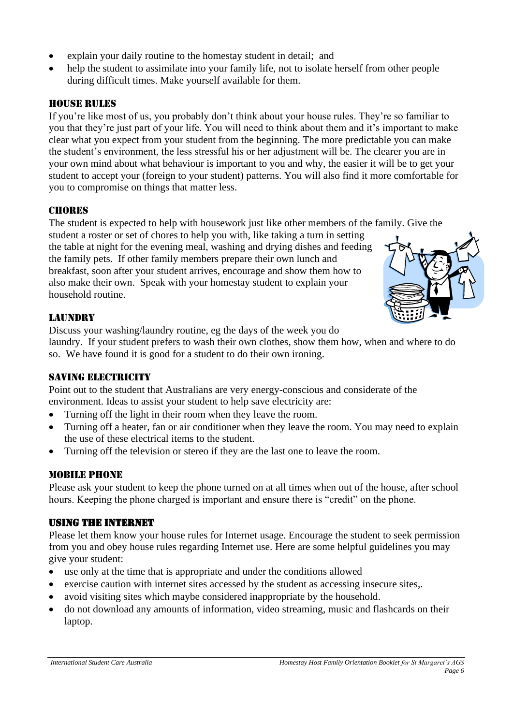- explain your daily routine to the homestay student in detail; and
- help the student to assimilate into your family life, not to isolate herself from other people during difficult times. Make yourself available for them.

# HOUSE RULES

If you're like most of us, you probably don't think about your house rules. They're so familiar to you that they're just part of your life. You will need to think about them and it's important to make clear what you expect from your student from the beginning. The more predictable you can make the student's environment, the less stressful his or her adjustment will be. The clearer you are in your own mind about what behaviour is important to you and why, the easier it will be to get your student to accept your (foreign to your student) patterns. You will also find it more comfortable for you to compromise on things that matter less.

# **CHORES**

The student is expected to help with housework just like other members of the family. Give the

student a roster or set of chores to help you with, like taking a turn in setting the table at night for the evening meal, washing and drying dishes and feeding the family pets. If other family members prepare their own lunch and breakfast, soon after your student arrives, encourage and show them how to also make their own. Speak with your homestay student to explain your household routine.



# **LAUNDRY**

Discuss your washing/laundry routine, eg the days of the week you do

laundry. If your student prefers to wash their own clothes, show them how, when and where to do so. We have found it is good for a student to do their own ironing.

# SAVING ELECTRICITY

Point out to the student that Australians are very energy-conscious and considerate of the environment. Ideas to assist your student to help save electricity are:

- Turning off the light in their room when they leave the room.
- Turning off a heater, fan or air conditioner when they leave the room. You may need to explain the use of these electrical items to the student.
- Turning off the television or stereo if they are the last one to leave the room.

# Mobile Phone

Please ask your student to keep the phone turned on at all times when out of the house, after school hours. Keeping the phone charged is important and ensure there is "credit" on the phone.

# Using the Internet

Please let them know your house rules for Internet usage. Encourage the student to seek permission from you and obey house rules regarding Internet use. Here are some helpful guidelines you may give your student:

- use only at the time that is appropriate and under the conditions allowed
- exercise caution with internet sites accessed by the student as accessing insecure sites,.
- avoid visiting sites which maybe considered inappropriate by the household.
- do not download any amounts of information, video streaming, music and flashcards on their laptop.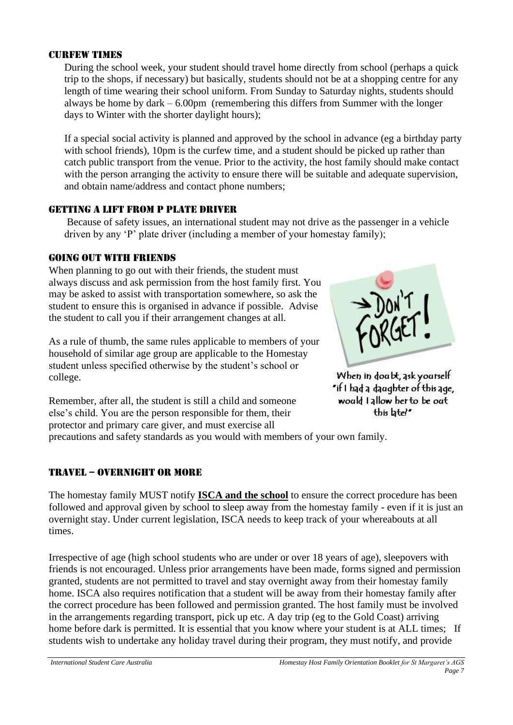#### **CURFEW TIMES**

During the school week, your student should travel home directly from school (perhaps a quick trip to the shops, if necessary) but basically, students should not be at a shopping centre for any length of time wearing their school uniform. From Sunday to Saturday nights, students should always be home by dark – 6.00pm (remembering this differs from Summer with the longer days to Winter with the shorter daylight hours);

If a special social activity is planned and approved by the school in advance (eg a birthday party with school friends), 10pm is the curfew time, and a student should be picked up rather than catch public transport from the venue. Prior to the activity, the host family should make contact with the person arranging the activity to ensure there will be suitable and adequate supervision, and obtain name/address and contact phone numbers;

#### Getting a lift from P plate driver

Because of safety issues, an international student may not drive as the passenger in a vehicle driven by any 'P' plate driver (including a member of your homestay family);

#### Going out with friends

When planning to go out with their friends, the student must always discuss and ask permission from the host family first. You may be asked to assist with transportation somewhere, so ask the student to ensure this is organised in advance if possible. Advise the student to call you if their arrangement changes at all.

As a rule of thumb, the same rules applicable to members of your household of similar age group are applicable to the Homestay student unless specified otherwise by the student's school or college.



When in doabt, ask yourself "if I had a daughter of this age, would I allow her to be out this btel\*

Remember, after all, the student is still a child and someone else's child. You are the person responsible for them, their protector and primary care giver, and must exercise all

precautions and safety standards as you would with members of your own family.

# TRAVEL – OVERNIGHT OR MORE

The homestay family MUST notify **ISCA and the school** to ensure the correct procedure has been followed and approval given by school to sleep away from the homestay family - even if it is just an overnight stay. Under current legislation, ISCA needs to keep track of your whereabouts at all times.

Irrespective of age (high school students who are under or over 18 years of age), sleepovers with friends is not encouraged. Unless prior arrangements have been made, forms signed and permission granted, students are not permitted to travel and stay overnight away from their homestay family home. ISCA also requires notification that a student will be away from their homestay family after the correct procedure has been followed and permission granted. The host family must be involved in the arrangements regarding transport, pick up etc. A day trip (eg to the Gold Coast) arriving home before dark is permitted. It is essential that you know where your student is at ALL times; If students wish to undertake any holiday travel during their program, they must notify, and provide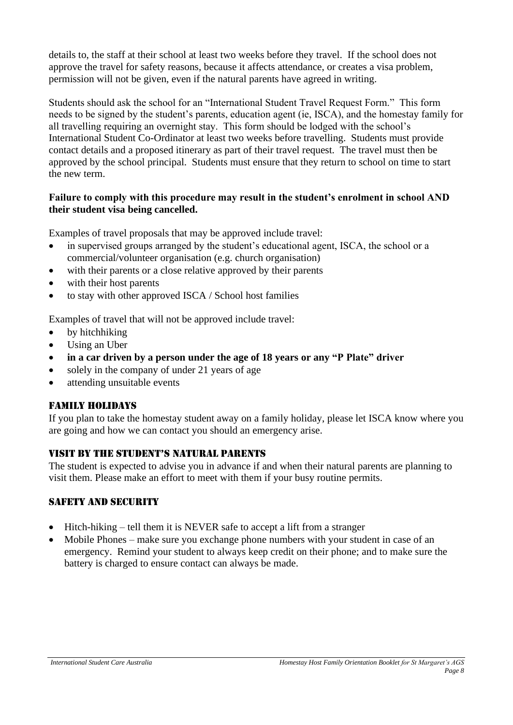details to, the staff at their school at least two weeks before they travel. If the school does not approve the travel for safety reasons, because it affects attendance, or creates a visa problem, permission will not be given, even if the natural parents have agreed in writing.

Students should ask the school for an "International Student Travel Request Form." This form needs to be signed by the student's parents, education agent (ie, ISCA), and the homestay family for all travelling requiring an overnight stay. This form should be lodged with the school's International Student Co-Ordinator at least two weeks before travelling. Students must provide contact details and a proposed itinerary as part of their travel request. The travel must then be approved by the school principal. Students must ensure that they return to school on time to start the new term.

# **Failure to comply with this procedure may result in the student's enrolment in school AND their student visa being cancelled.**

Examples of travel proposals that may be approved include travel:

- in supervised groups arranged by the student's educational agent, ISCA, the school or a commercial/volunteer organisation (e.g. church organisation)
- with their parents or a close relative approved by their parents
- with their host parents
- to stay with other approved ISCA / School host families

Examples of travel that will not be approved include travel:

- by hitchhiking
- Using an Uber
- **in a car driven by a person under the age of 18 years or any "P Plate" driver**
- solely in the company of under 21 years of age
- attending unsuitable events

# Family holidays

If you plan to take the homestay student away on a family holiday, please let ISCA know where you are going and how we can contact you should an emergency arise.

#### Visit by the student's natural parents

The student is expected to advise you in advance if and when their natural parents are planning to visit them. Please make an effort to meet with them if your busy routine permits.

#### Safety and security

- Hitch-hiking tell them it is NEVER safe to accept a lift from a stranger
- Mobile Phones make sure you exchange phone numbers with your student in case of an emergency. Remind your student to always keep credit on their phone; and to make sure the battery is charged to ensure contact can always be made.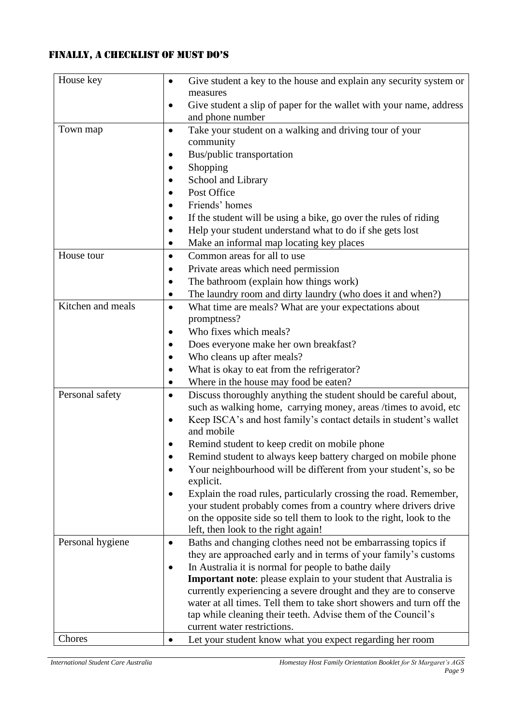# FINALLY, a CheCklist of must do's

| House key         | Give student a key to the house and explain any security system or<br>$\bullet$                                                       |
|-------------------|---------------------------------------------------------------------------------------------------------------------------------------|
|                   | measures                                                                                                                              |
|                   | Give student a slip of paper for the wallet with your name, address<br>$\bullet$<br>and phone number                                  |
| Town map          |                                                                                                                                       |
|                   | Take your student on a walking and driving tour of your<br>$\bullet$<br>community                                                     |
|                   | Bus/public transportation                                                                                                             |
|                   | Shopping                                                                                                                              |
|                   | School and Library                                                                                                                    |
|                   | Post Office                                                                                                                           |
|                   | Friends' homes                                                                                                                        |
|                   | If the student will be using a bike, go over the rules of riding                                                                      |
|                   | Help your student understand what to do if she gets lost                                                                              |
|                   | Make an informal map locating key places                                                                                              |
| House tour        | Common areas for all to use                                                                                                           |
|                   | $\bullet$                                                                                                                             |
|                   | Private areas which need permission                                                                                                   |
|                   | The bathroom (explain how things work)                                                                                                |
| Kitchen and meals | The laundry room and dirty laundry (who does it and when?)                                                                            |
|                   | What time are meals? What are your expectations about<br>$\bullet$                                                                    |
|                   | promptness?<br>Who fixes which meals?                                                                                                 |
|                   |                                                                                                                                       |
|                   | Does everyone make her own breakfast?                                                                                                 |
|                   | Who cleans up after meals?                                                                                                            |
|                   | What is okay to eat from the refrigerator?                                                                                            |
| Personal safety   | Where in the house may food be eaten?                                                                                                 |
|                   | Discuss thoroughly anything the student should be careful about,                                                                      |
|                   | such as walking home, carrying money, areas /times to avoid, etc<br>Keep ISCA's and host family's contact details in student's wallet |
|                   | ٠<br>and mobile                                                                                                                       |
|                   | Remind student to keep credit on mobile phone                                                                                         |
|                   | Remind student to always keep battery charged on mobile phone                                                                         |
|                   | Your neighbourhood will be different from your student's, so be                                                                       |
|                   | explicit.                                                                                                                             |
|                   | Explain the road rules, particularly crossing the road. Remember,                                                                     |
|                   | your student probably comes from a country where drivers drive                                                                        |
|                   | on the opposite side so tell them to look to the right, look to the                                                                   |
|                   | left, then look to the right again!                                                                                                   |
| Personal hygiene  | Baths and changing clothes need not be embarrassing topics if                                                                         |
|                   | they are approached early and in terms of your family's customs                                                                       |
|                   | In Australia it is normal for people to bathe daily                                                                                   |
|                   | <b>Important note:</b> please explain to your student that Australia is                                                               |
|                   | currently experiencing a severe drought and they are to conserve                                                                      |
|                   | water at all times. Tell them to take short showers and turn off the                                                                  |
|                   | tap while cleaning their teeth. Advise them of the Council's                                                                          |
|                   | current water restrictions.                                                                                                           |
| Chores            | Let your student know what you expect regarding her room                                                                              |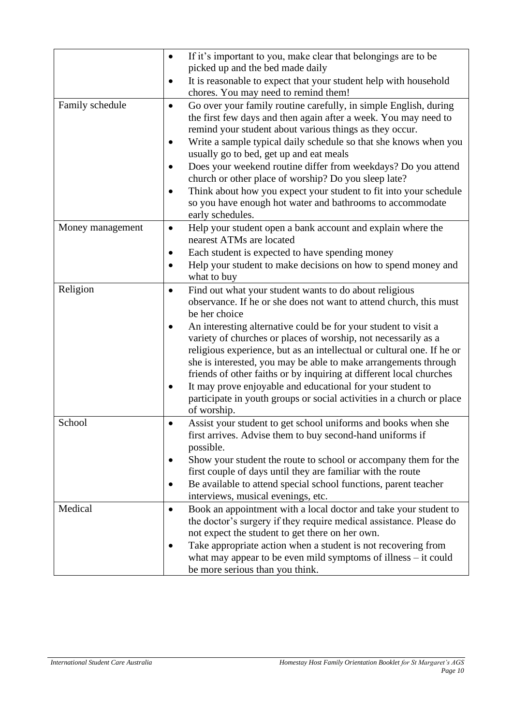|                  | If it's important to you, make clear that belongings are to be<br>picked up and the bed made daily<br>It is reasonable to expect that your student help with household                                                                                                                                                                                |
|------------------|-------------------------------------------------------------------------------------------------------------------------------------------------------------------------------------------------------------------------------------------------------------------------------------------------------------------------------------------------------|
|                  | chores. You may need to remind them!                                                                                                                                                                                                                                                                                                                  |
| Family schedule  | Go over your family routine carefully, in simple English, during<br>$\bullet$<br>the first few days and then again after a week. You may need to<br>remind your student about various things as they occur.<br>Write a sample typical daily schedule so that she knows when you<br>$\bullet$                                                          |
|                  | usually go to bed, get up and eat meals                                                                                                                                                                                                                                                                                                               |
|                  | Does your weekend routine differ from weekdays? Do you attend                                                                                                                                                                                                                                                                                         |
|                  | church or other place of worship? Do you sleep late?<br>Think about how you expect your student to fit into your schedule<br>so you have enough hot water and bathrooms to accommodate                                                                                                                                                                |
|                  | early schedules.                                                                                                                                                                                                                                                                                                                                      |
| Money management | Help your student open a bank account and explain where the<br>$\bullet$<br>nearest ATMs are located                                                                                                                                                                                                                                                  |
|                  | Each student is expected to have spending money                                                                                                                                                                                                                                                                                                       |
|                  | Help your student to make decisions on how to spend money and                                                                                                                                                                                                                                                                                         |
|                  | what to buy                                                                                                                                                                                                                                                                                                                                           |
| Religion         | Find out what your student wants to do about religious<br>$\bullet$<br>observance. If he or she does not want to attend church, this must<br>be her choice                                                                                                                                                                                            |
|                  | An interesting alternative could be for your student to visit a<br>variety of churches or places of worship, not necessarily as a<br>religious experience, but as an intellectual or cultural one. If he or<br>she is interested, you may be able to make arrangements through<br>friends of other faiths or by inquiring at different local churches |
|                  | It may prove enjoyable and educational for your student to<br>$\bullet$<br>participate in youth groups or social activities in a church or place<br>of worship.                                                                                                                                                                                       |
| School           | Assist your student to get school uniforms and books when she<br>first arrives. Advise them to buy second-hand uniforms if<br>possible.                                                                                                                                                                                                               |
|                  | Show your student the route to school or accompany them for the<br>first couple of days until they are familiar with the route                                                                                                                                                                                                                        |
|                  | Be available to attend special school functions, parent teacher                                                                                                                                                                                                                                                                                       |
|                  | interviews, musical evenings, etc.                                                                                                                                                                                                                                                                                                                    |
| Medical          | Book an appointment with a local doctor and take your student to<br>$\bullet$<br>the doctor's surgery if they require medical assistance. Please do<br>not expect the student to get there on her own.                                                                                                                                                |
|                  | Take appropriate action when a student is not recovering from<br>what may appear to be even mild symptoms of illness $-$ it could<br>be more serious than you think.                                                                                                                                                                                  |